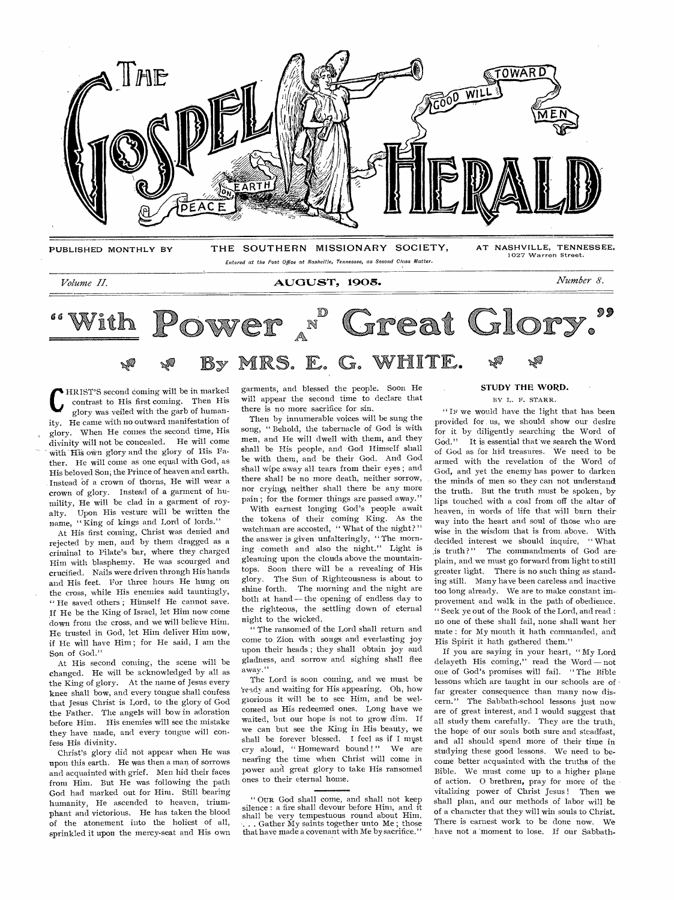

# *Volume II.* **AUGUST, 1905.** *Number 8.*

Power <sup>"</sup> Great Glory. 99 With ra,

 $\mathbf{C}$ HRIST'S second coming will be in marked contrast to His first coming. Then His glory was veiled with the garb of humanity. He came with no outward manifestation of glory. When He comes the second time, His divinity will not be concealed. He will come with His own glory and the glory of His Father. He will come as one equal with God, as His beloved Son; the Prince of heaven and earth. Instead of a crown of thorns, He will wear a crown of glory. Instead of a garment of humility, He will be clad in a garment of royalty. Upon His vesture will be written the name, " King of kings and Lord of lords."

At His first coming, Christ was denied and rejected by men, and by them dragged as a criminal to Pilate's bar, where they charged Him with blasphemy. He was scourged and crucified. Nails were driven through His hands and His feet. For three hours He hung on the cross, while His enemies said tauntingly, " He saved others ; Himself He cannot save. If He be the King of Israel, let Him now come down from the cross, and we will believe Him. He trusted in God, let Him deliver Him now, if He will have Him ; for He said, I am the Son of God."

At His second coming, the scene will be changed. He will be acknowledged by all as the King of glory. At the name of Jesus every knee shall bow, and every tongue shall confess that Jesus Christ is Lord, to the glory of God the Father. The angels will bow in adoration before Him. His enemies will see the mistake they have made, and every tongue will confess His divinity.

Christ's glory did not appear when He was upon this earth. He was then a man of sorrows and acquainted with grief. Men hid their faces from Him. But He was following the path God had marked out for Him. Still bearing humanity, He ascended to heaven, triumphant and victorious. He has taken the blood of the atonement into the holiest of all, sprinkled it upon the mercy-seat and His own garments, and blessed the people. Soon He will appear the second time to declare that there is no more sacrifice for sin.

Then by innumerable voices will be sung the song, " Behold, the tabernacle of God is with men, and He will dwell with them, and they shall be His people, and God Himself- shall be with them, and be their God. And God shall wipe away all tears from their eyes ; and there shall be no more death, neither sorrow, nor crying, neither shall there be any more pain ; for the former things are passed away."

With earnest longing God's people await the tokens of their coming King. As the watchman are accosted, "What of the night?" the answer is given unfalteringly, " The morning cometh and also the night." Light is gleaming upon the clouds above the mountaintops. Soon there will be a revealing of His glory. The Sun of Righteousness is about to shine forth. The morning and the night are both at hand — the opening of endless day to the righteous, the settling down of eternal night to the wicked.

" The ransomed of the Lord shall return and come to, Zion with songs and everlasting joy upon their heads ; they shall obtain joy and gladness, and sorrow and sighing shall flee away."

The Lord is soon coming, and we must be leady and waiting for His appearing. Oh, how glorious it will be to see Him, and be welcomed as His redeemed ones. Long have we waited, but our hope is not to grow dim. If we can but see the King in His beauty, we shall be forever blessed. I feel as if I must cry aloud, "Homeward bound!" We are nearing the time when Christ will come in power and great glory to take His ransomed ones to their eternal home.

# **STUDY THE WORD.**

BY L. B. STARR.

"IF we would have the light that has been provided for us, we should show our desire for it by diligently searching the Word of God." It is essential that we search the Word of God as for hid treasures. We need to be armed with the revelation of the Word of God, and yet the enemy has power to darken the minds of men so they can not understand the truth. But the truth must be spoken, by lips touched with a coal from off the altar of heaven, in words of life that will burn their way into the heart and soul of those who are wise in the wisdom that is from above. With decided interest we should inquire, " What is truth?" The commandments of God areplain, and we must go forward from light to still greater light. There is no such thing as standing still. Many have been careless and inactive too long already. We are to make constant improvement and walk in the path of obedience. " Seek ye out of the Book of the Lord, and read : no one of these shall fail, none shall want her mate : for My mouth it hath commanded, and His Spirit it hath gathered them."

If you are saying in your heart, " My Lord delayeth His coming," read the Word — not one of God's promises will fail. " The Bible lessons which are taught in our schools are of • far greater consequence than many now discern." The Sabbath-school lessons just now are of great interest, and I would suggest that all study them carefully. They are the truth, the hope of our souls both sure and steadfast, and all should spend more of their time in studying these good lessons. We need to become better acquainted with the truths of the Bible. We must come up to a higher plane of action. O brethren, pray for more of the vitalizing power of Christ Jesus ! Then we shall plan, and our methods of labor will be of a character that they will win souls to Christ. There is earnest work to be done now. We have not a 'moment to lose. If our Sabbath-

<sup>&</sup>quot; OUR God shall come, and shall not keep silence : a fire shall devour before Him, and it shall be very tempestuous round about Him. Gather My saints together unto Me; those that have made a covenant with Me by sacrifice."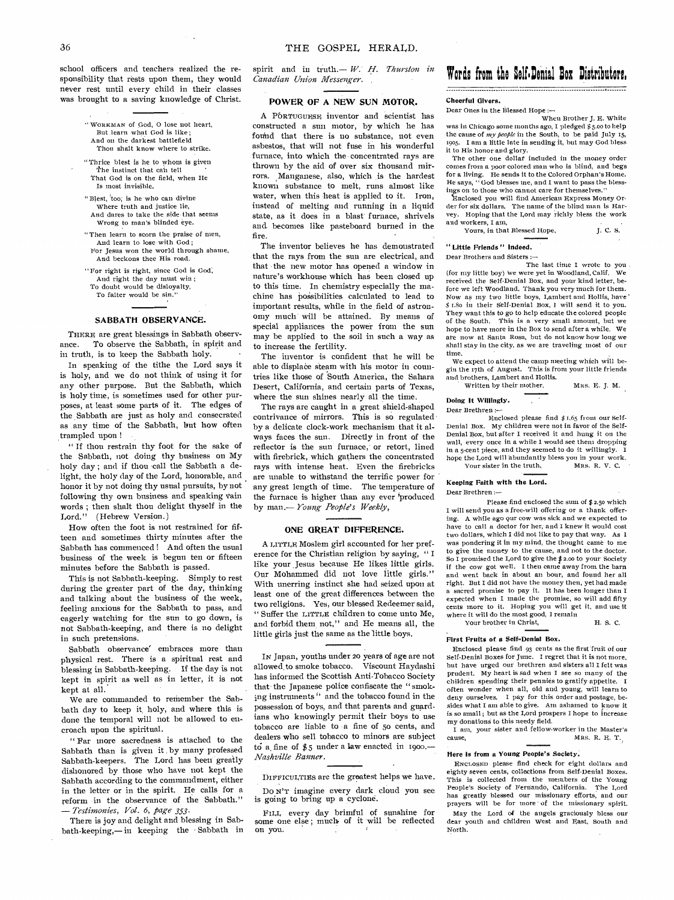school officers and teachers realized the responsibility that rests upon them, they would never rest until every child in their classes was brought to a saving knowledge of Christ.

> WORKMAN of God, 0 lose not heart, But learn what God is like; And on the darkest battlefield

Thou shalt know where to strike.

- "Thrice blest is he to whom is given The instinct that can tell That God is on the field, when He
- Is most invisible. "Blest, too; is he who can divine
- Where truth and justice lie, And dares to take the side that seems Wrong to man's blinded eye.
- " Then learn to scorn the praise of men, And learn to lose with God; For Jesus won the world through shame,
- And beckons thee His road. "For right is right, since God is God; And right the day must win ; To doubt would be disloyalty,
- To falter would be sin.

# **SABBATH OBSERVANCE.**

THERE are great blessings in Sabbath observance. To observe the Sabbath, in spirit and in truth, is to keep the Sabbath holy.

In speaking of the tithe the Lord says it is holy, and we do not think of using it for any other purpose. But the Sabbath, which is holy time, is sometimes used for other purposes, at least- some parts of it. The edges of the Sabbath are just as holy and consecrated as any time of the Sabbath, but how often trampled upon !

" If thou restrain thy foot for the sake of the Sabbath, not doing thy business on My holy day ; and if thou call the Sabbath a delight, the holy day of the Lord, honorable, and honor it by not doing thy usual pursuits, by not following thy own business and speaking vain words ; then shalt thou delight thyself in the Lord." (Hebrew Version.)

How often the foot is not restrained for fifteen and sometimes thirty minutes after the Sabbath has commenced ! And often the usual business of the week is begun ten or fifteen minutes before the Sabbath is passed.

This is not Sabbath-keeping. Simply to rest during the greater part of the day, thinking and talking about the business of the week, feeling anxious for the Sabbath to pass, and eagerly watching for the sun to go down, is not Sabbath-keeping, and there is no delight in such pretensions.

Sabbath observance' embraces more than physical rest. There is a spiritual rest and blessing in Sabbath-keeping. If the day is not kept in spirit as well as in letter, it is not kept at all.

We are commanded to remember the Sabbath day to keep it, holy, and where this is done the temporal will not be allowed to encroach upon the spiritual.

" Far more sacredness is attached to the Sabbath than is given it by many professed Sabbath-keepers. The Lord has been greatly dishonored by those who have not kept the Sabbath according to the commandment, either in the letter or in the spirit. He calls for a reform in the observance of the Sabbath." *— Testimonies, Vol. 6, page 353.* 

There is joy and delight and blessing in Sabbath-keeping,— in keeping the Sabbath in spirit and in truth.— W.' H. *Thurston in Canadian Union Messenger.* 

# **POWER OF A NEW SUN MOTOR.**

A PORTUGUESE inventor and scientist has constructed a sun motor, by which he has found that there is no substance, not even asbestos, that will not fuse in his wonderful furnace, into which the concentrated rays are thrown by the aid of over six thousand mirrors. Manganese, also, which is the hardest known substance to melt, runs almost like water, when this heat is applied to it. Iron, instead of melting and running in a liquid state, as it does in a blast furnace, shrivels and, becomes like pasteboard burned in the fire.

The inventor believes he has demonstrated that the rays from the sun are electrical, and that the new motor has opened a window in nature's workhouse which has been closed up to this time. In chemistry especially the machine has possibilities calculated to lead to important results, while in the, field of astronomy much will be attained. By means of special appliances the power from the sun may be applied to the soil in such a way as to increase the fertility.

The inventor is confident that he will be able to displace steam with his motor in countries like those of South America, the Sahara Desert, California, and certain parts of Texas, where the sun shines nearly all the time.

The rays are caught in a great shield-shaped contrivance of mirrors. This is so regulated by a delicate clock-work mechanism that it always faces the sun. Directly in front of the reflector is the sun furnace, or retort, lined with firebrick, which gathers the concentrated rays with intense heat. Even the firebricks are unable to withstand the terrific power for any great length of time. The temperature of the furnace is higher than any ever 'produced by man.— *Young People's Weekly,* 

# **ONE GREAT DIFFERENCE.**

A LITTLE Moslem girl accounted for her preference for the Christian religion by saying, " I like your Jesus because He likes little girls. Our Mohammed did not love little girls." With unerring instinct she had seized upon at least one of the great differences between the two religions. Yes, our blessed Redeemer said, " Suffer the LITTLE children to come unto Me, and forbid them not," and He means all, the little girls just the same as the little boys.

IN Japan, youths under 20 years of age are not allowed, to smoke tobacco. Viscount Haydashi has informed the Scottish Anti-Tobacco Society that the Japanese police confiscate the " smoking instruments" and the tobacco found in the possession of boys, and that parents and guardians who knowingly permit their boys to use tobacco are liable to -a fine of 5o cents, and dealers who sell tobacco to minors are subject to a fine of  $$5$  under a law enacted in 1900.— *Nashville Banner.* 

DIFFICULTIES are **the** greatest helps we have.

Do N'T imagine every dark cloud you see is going to bring up a cyclone.

FILL, every day brimful of sunshine for some one else ; much. of it will be reflected on you.

# Words from the Self-Denial Box Distributors.

#### **Cheerful Givers.**

Dear Ones in the Blessed Hope :—

When Brother J. E. White was in Chicago some months ago, I pledged \$ 5.00 to help the cause of *my people* in the South, to be paid July 15, 1905. I am a little late in sending it, but may God bless it to His honor and glory.

The other one dollar included in the money order comes from a poor colored man who is blind, and begs for a living. He sends it to the Colored Orphan's Home. He says, " God blesses me, and I want to pass the blessings on to those who cannot care for themselves."

ncl9sed you will find American Express Money Order for six dollars. The name of the blind man is Har-vey. Hoping that the Lord may richly bless the work and workers, I am,

| Yours, in that Blessed Hope, | J. C. S. |
|------------------------------|----------|
|------------------------------|----------|

## **" Little Friends " Indeed.**

Dear Brothers and Sisters

(for my little boy) 'we were yet in Woodland, Calif. We received the Self-Denial Box, and your kind letter, before we left Woodland. Thank you very much for them. Now as my two little boys, Lambert and Hollis, have' \$ 1.8o in their Self-Denial Box, I will send it to you. They want this to go to help educate the colored people of the South. This is a very small amount, but we hope to have more in the Box to send after a while. We ate now at Santa Rosa, but do not know how long we shall stay in the city, as we are traveling most of our time.

We expect to attend the camp meeting which will begin the 17th of August. This is from your little friends and brothers, Lambert and Hollis.

Written by their mother, MRS. E. J. M.

#### **Doing It Willingly.**  Dear Brethren :—

Enclosed please find \$ r.65 from our Self-Denial Box. My children were not in favor of the Self-Denial Box, but after I received it and hung it on the wall, every once in a while I would see them dropping in a 5-cent piece, and they seemed to do it willingly. I hope the Lord will abundantly bless you in your work. Your sister in the truth, MRS. R. V. C.

#### **Keeping Faith with the Lord.**  Dear Brethren :—

Please find enclosed the sum of \$ 2.5o which

I will send you as a free-will offering or a thank offering. A while ago our cow was sick and we expected to have to call a doctor for her, and I knew it would cost two dollars, which I did not like to pay that way. As I was pondering it in my mind, the thought came to me to give the money to the cause, and not to the doctor. So I promised the Lord to give the \$2.00 to your Society if the cow got well. I then came away from the barn and went back in about an hour, and found her all right. But I did not have the money then, yet had made a sacred promise to pay it. It has been longer than I expected when I made the promise, so will add fifty cents more to it. Hoping you will get it, and use it where it will do the most good, I remain Your brother in Christ, H. S. C.

# **First Fruits of. a Self-Denial Box.**

Enclosed please find 93 cents as the first fruit of our Self-Denial Boxes for June. I regret that it is not more, but have urged our brethren and sisters all I felt was prudent. My heart is sad when I see so many of the children spending their pennies to gratify appetite. I often wonder when all, old and young, will learn to deny ourselves. I pay for this order and postage, besides what I am able to give. Am ashamed to know it is so small; but as the Lord prospers I hope to increase my donations to this needy field.

I am, your sister and fellow-worker in the Master's cause, MRS. R. E. T.

## **Here is from a Young People's** Society.

ENCLOSED please find check for eight dollars and eighty seven cents, collections from Self-Denial Boxes. This is collected front the members of the Young People's Society of Fernando, California. The Lord has greatly blessed our missionary efforts, and our prayers will be for more of the missionary spirit. May the Lord of the angels graciously bless our dear youth and children West and East, South and North.

The last time I wrote to you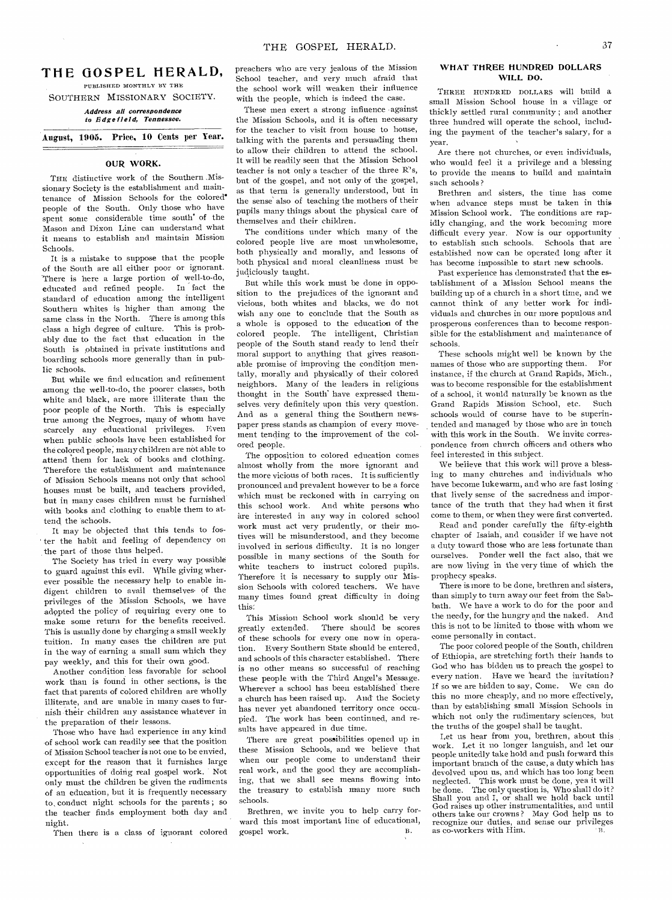# THE GOSPEL HERALD, PUBLISHED MONTHLY BY THE

SOUTHERN MISSIONARY SOCIETY.

#### *Address all correspondence to Edge field, Tennessee.*

# August, 1905. Price, 10 Cents per Year.

### OUR WORK.

THE distinctive work of the Southern ,Missionary Society is the establishment and maintenance of Mission Schools for the colored' people of the South. Only those who have spent some considerable time south' of the Mason and Dixon Line can understand what it means to establish and maintain Mission Schools.

It is a mistake to suppose that the people of the South are all either poor or ignorant. There is here a large portion of well-to-do,<br>educated and refined people. In fact the educated and refined people. standard of education among the intelligent Southern whites is higher than among the same class in the North. There is among this class a high degree of culture. This is probably due to the fact that education in the South is obtained in private institutions and boarding schools more generally than in public schools.

But while we find education and refinement among the well-to-do, the poorer classes, both white and black, are more illiterate than the poor people of the North. This is especially true among the Negroes, many of whom have<br>scarcely any educational privileges. Even scarcely any educational privileges. when public schools have been established for the colored people; many children are not able to attend them for lack of books and clothing. Therefore the establishment and maintenance of Mission Schools means not only that school houses must be built, and teachers provided, but in many cases children must be furnished with books and clothing to enable them to attend the schools.

It may be objected that this tends to fos- ' ter the habit and feeling of dependency on the part of those thus helped.

The Society has tried in every way possible to guard against this evil. While giving wherever possible the necessary help to enable indigent children to avail themselves of the privileges of the Mission Schools, we have adopted the policy of requiring every one to make some return for the benefits received. This is usually done by charging a small weekly tuition. In many cases the children are put in the way of earning a small sum which they pay weekly, and this for their own good.

Another condition less favorable for school work than is found in other sections, is the fact that parents of colored children are wholly illiterate, and are unable in many cases to furnish their children any assistance whatever in the preparation of their lessons.

Those who have had experience in any kind of school work can readily see that the position of Mission School teacher is not one to be envied, except for the reason that it furnishes large opportunities of doing real gospel work. Not only must the children be given the rudiments of an education, but it is frequently necessary to, conduct night schools for the parents ; so the teacher finds employment both day and night.

Then there is a class of ignorant colored

preachers who are very jealous of the Mission School teacher, and very much afraid that the school work will weaken their influence with the people, which is indeed the case.

These men exert a strong influence against the Mission Schools, and it is often necessary for the teacher to visit from house to house, talking with the parents and persuading them to allow their children to attend the school. It will be readily seen that the Mission School teacher is not only a teacher of the three R's, but of the gospel, and not only of the gospel, as that term is generally understood, but in the sense also of teaching the mothers of their pupils many things about the physical care of themselves and their children.

The conditions under which many of the colored people live are most unwholesome, both physically and morally, and lessons of both physical and moral cleanliness must be judiciously taught.

But while this work must be done in opposition to the prejudices of the ignorant and vicious, both whites and blacks, we do not wish any one to conclude that the South as a whole is opposed to the education of the colored people. The intelligent, Christian people of the South stand ready to lend their moral support to anything that gives reasonable promise of improving the condition mentally, morally and physically of their colored neighbors. Many of the leaders in religious thought in the South have expressed themselves, very definitely upon this very question. And as a general thing the Southern newspaper press stands as champion of every movement tending to the improvement of the colored people.

The opposition to colored education comes almost wholly from the more ignorant and the more vicious of both races. It is sufficiently pronounced and prevalent however to be a force which must be reckoned with in carrying on this school work. And white persons who are interested in any way in colored school work must act very prudently, or their motives will be misunderstood, and they become involved in serious difficulty. It is no longer possible in many sections of the South for white teachers to instruct colored pupils. Therefore it is necessary to supply our Mission Schools with colored teachers. We have many times found great difficulty in doing this'.

This Mission School work should be very greatly extended. There should be scores of these schools for every one now in operation. Every Southern State should be entered, and schools of this character established. There is no other means so successful of reaching these people with the Third Angel's Message. Wherever a school has been established there a church has been raised up. And the Society has never yet abandoned territory once occupied. The work has been continued, and results have appeared in due time.

There are great possibilities opened up in these Mission Schools, and we believe that when our people come to understand their real work, and the good they are accomplishing, that we shall see means flowing into the treasury to establish many more such schools.

Brethren, we invite you to help carry forward this most important line of educational, gospel work. B.

# WHAT THREE HUNDRED DOLLARS WILL DO.

THREE HUNDRED DOLLARS will build a small Mission School house in a village or thickly settled rural community ; and another three hundred will operate the school, including the payment of the teacher's salary, for a year.

Are there not churches, or even individuals, who would feel it a privilege and a blessing to provide the means to build and maintain such schools ?

Brethren and sisters, the time has come when advance steps must be taken in this Mission School work. The conditions are rapidly changing, and the work becoming more difficult every year. Now is our opportunity to establish such schools. Schools that are established now can be operated long after it has become impossible to start new schools.

Past experience has demonstrated that the establishment of a Mission School means the building up of a church in a short time, and we cannot think of any better work for individuals and churches in our more populous and prosperous conferences than to become responsible for the establishment and maintenance of schools.

These schools might well be known by the names of those who are supporting them. For instance, if the church at Grand Rapids, Mich., was to become responsible for the establishment of a school, it would naturally be known as the Grand Rapids Mission School, etc. Such schools would of course have to be superintended and managed by those who are in touch with this work in the South. We invite correspondence from church officers and others who feel interested in this subject.

We believe that this work will prove a blessing to many churches and individuals who have become lukewarm, and who are fast losing that lively sense of the sacredness and importance of the truth that they had when it first come to them, or when they were first converted. Read and ponder carefully the fifty-eighth

chapter of Isaiah, and consider if we have not a duty toward those who are less fortunate than ourselves. Ponder well the fact also, that we are now living in the very time of which the prophecy speaks.

There is more to be done, brethren and sisters, than simply to turn away our feet from the Sabbath. We have a work to do for the poor and the needy, for the hungry and the naked. And this is not to be limited to those with whom we come personally in contact.

The poor colored people of the South, children of Ethiopia, are stretching forth their hands to God who has bidden us to preach the gospel to every nation. Have we heard the invitation? If so we are bidden to say, Come. We can do this no more cheaply, and no more effectively, than by establishing small Mission Schools in which not only the rudimentary sciences, but the truths of the gospel shall be taught.

Let us hear from you, brethren, about this work. Let it no longer languish, and let our people unitedly take hold and push forward this important branch of the cause, a duty which has devolved upon us, and which has too long been neglected. This work must be done, yea it will be done. The only question is, Who shall do it ? Shall you and I, or shall we hold back until God raises up other instrumentalities, and until others take our crowns ? May God help us to recognize our duties, and sense our privileges as co-workers with Him.